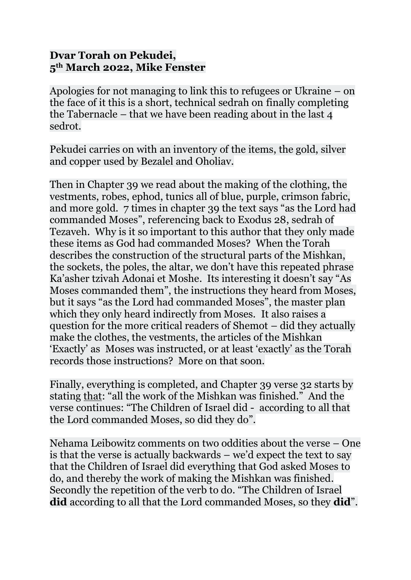## **Dvar Torah on Pekudei, 5th March 2022, Mike Fenster**

Apologies for not managing to link this to refugees or Ukraine – on the face of it this is a short, technical sedrah on finally completing the Tabernacle – that we have been reading about in the last 4 sedrot.

Pekudei carries on with an inventory of the items, the gold, silver and copper used by Bezalel and Oholiav.

Then in Chapter 39 we read about the making of the clothing, the vestments, robes, ephod, tunics all of blue, purple, crimson fabric, and more gold. 7 times in chapter 39 the text says "as the Lord had commanded Moses", referencing back to Exodus 28, sedrah of Tezaveh. Why is it so important to this author that they only made these items as God had commanded Moses? When the Torah describes the construction of the structural parts of the Mishkan, the sockets, the poles, the altar, we don't have this repeated phrase Ka'asher tzivah Adonai et Moshe. Its interesting it doesn't say "As Moses commanded them", the instructions they heard from Moses, but it says "as the Lord had commanded Moses", the master plan which they only heard indirectly from Moses. It also raises a question for the more critical readers of Shemot – did they actually make the clothes, the vestments, the articles of the Mishkan 'Exactly' as Moses was instructed, or at least 'exactly' as the Torah records those instructions? More on that soon.

Finally, everything is completed, and Chapter 39 verse 32 starts by stating that: "all the work of the Mishkan was finished." And the verse continues: "The Children of Israel did - according to all that the Lord commanded Moses, so did they do".

Nehama Leibowitz comments on two oddities about the verse – One is that the verse is actually backwards – we'd expect the text to say that the Children of Israel did everything that God asked Moses to do, and thereby the work of making the Mishkan was finished. Secondly the repetition of the verb to do. "The Children of Israel **did** according to all that the Lord commanded Moses, so they **did**".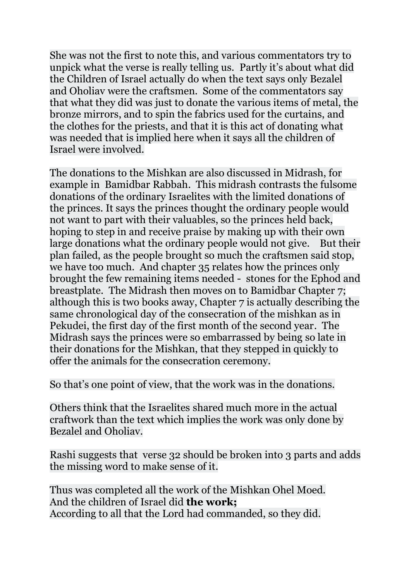She was not the first to note this, and various commentators try to unpick what the verse is really telling us. Partly it's about what did the Children of Israel actually do when the text says only Bezalel and Oholiav were the craftsmen. Some of the commentators say that what they did was just to donate the various items of metal, the bronze mirrors, and to spin the fabrics used for the curtains, and the clothes for the priests, and that it is this act of donating what was needed that is implied here when it says all the children of Israel were involved.

The donations to the Mishkan are also discussed in Midrash, for example in Bamidbar Rabbah. This midrash contrasts the fulsome donations of the ordinary Israelites with the limited donations of the princes. It says the princes thought the ordinary people would not want to part with their valuables, so the princes held back, hoping to step in and receive praise by making up with their own large donations what the ordinary people would not give. But their plan failed, as the people brought so much the craftsmen said stop, we have too much. And chapter 35 relates how the princes only brought the few remaining items needed - stones for the Ephod and breastplate. The Midrash then moves on to Bamidbar Chapter 7; although this is two books away, Chapter 7 is actually describing the same chronological day of the consecration of the mishkan as in Pekudei, the first day of the first month of the second year. The Midrash says the princes were so embarrassed by being so late in their donations for the Mishkan, that they stepped in quickly to offer the animals for the consecration ceremony.

So that's one point of view, that the work was in the donations.

Others think that the Israelites shared much more in the actual craftwork than the text which implies the work was only done by Bezalel and Oholiav.

Rashi suggests that verse 32 should be broken into 3 parts and adds the missing word to make sense of it.

Thus was completed all the work of the Mishkan Ohel Moed. And the children of Israel did **the work;** According to all that the Lord had commanded, so they did.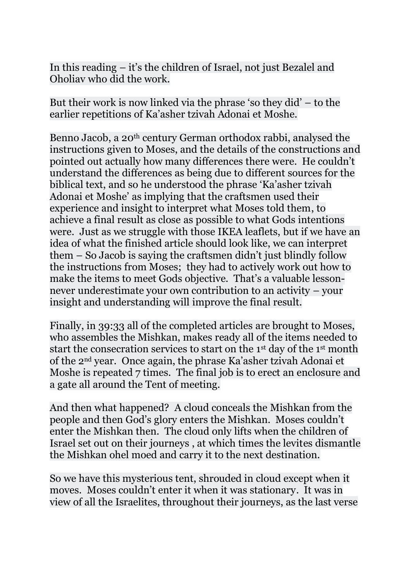In this reading – it's the children of Israel, not just Bezalel and Oholiav who did the work.

But their work is now linked via the phrase 'so they did' – to the earlier repetitions of Ka'asher tzivah Adonai et Moshe.

Benno Jacob, a 20<sup>th</sup> century German orthodox rabbi, analysed the instructions given to Moses, and the details of the constructions and pointed out actually how many differences there were. He couldn't understand the differences as being due to different sources for the biblical text, and so he understood the phrase 'Ka'asher tzivah Adonai et Moshe' as implying that the craftsmen used their experience and insight to interpret what Moses told them, to achieve a final result as close as possible to what Gods intentions were. Just as we struggle with those IKEA leaflets, but if we have an idea of what the finished article should look like, we can interpret them – So Jacob is saying the craftsmen didn't just blindly follow the instructions from Moses; they had to actively work out how to make the items to meet Gods objective. That's a valuable lessonnever underestimate your own contribution to an activity – your insight and understanding will improve the final result.

Finally, in 39:33 all of the completed articles are brought to Moses, who assembles the Mishkan, makes ready all of the items needed to start the consecration services to start on the 1st day of the 1st month of the 2nd year. Once again, the phrase Ka'asher tzivah Adonai et Moshe is repeated 7 times. The final job is to erect an enclosure and a gate all around the Tent of meeting.

And then what happened? A cloud conceals the Mishkan from the people and then God's glory enters the Mishkan. Moses couldn't enter the Mishkan then. The cloud only lifts when the children of Israel set out on their journeys , at which times the levites dismantle the Mishkan ohel moed and carry it to the next destination.

So we have this mysterious tent, shrouded in cloud except when it moves. Moses couldn't enter it when it was stationary. It was in view of all the Israelites, throughout their journeys, as the last verse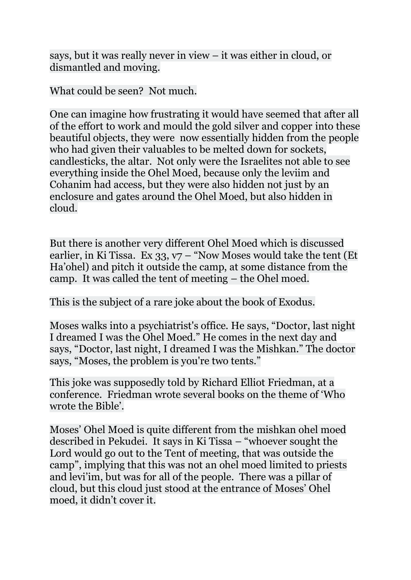says, but it was really never in view – it was either in cloud, or dismantled and moving.

What could be seen? Not much.

One can imagine how frustrating it would have seemed that after all of the effort to work and mould the gold silver and copper into these beautiful objects, they were now essentially hidden from the people who had given their valuables to be melted down for sockets, candlesticks, the altar. Not only were the Israelites not able to see everything inside the Ohel Moed, because only the leviim and Cohanim had access, but they were also hidden not just by an enclosure and gates around the Ohel Moed, but also hidden in cloud.

But there is another very different Ohel Moed which is discussed earlier, in Ki Tissa. Ex  $33, v7 - v$  Now Moses would take the tent (Et Ha'ohel) and pitch it outside the camp, at some distance from the camp. It was called the tent of meeting – the Ohel moed.

This is the subject of a rare joke about the book of Exodus.

Moses walks into a psychiatrist's office. He says, "Doctor, last night I dreamed I was the Ohel Moed." He comes in the next day and says, "Doctor, last night, I dreamed I was the Mishkan." The doctor says, "Moses, the problem is you're two tents."

This joke was supposedly told by Richard Elliot Friedman, at a conference. Friedman wrote several books on the theme of 'Who wrote the Bible'.

Moses' Ohel Moed is quite different from the mishkan ohel moed described in Pekudei. It says in Ki Tissa – "whoever sought the Lord would go out to the Tent of meeting, that was outside the camp", implying that this was not an ohel moed limited to priests and levi'im, but was for all of the people. There was a pillar of cloud, but this cloud just stood at the entrance of Moses' Ohel moed, it didn't cover it.